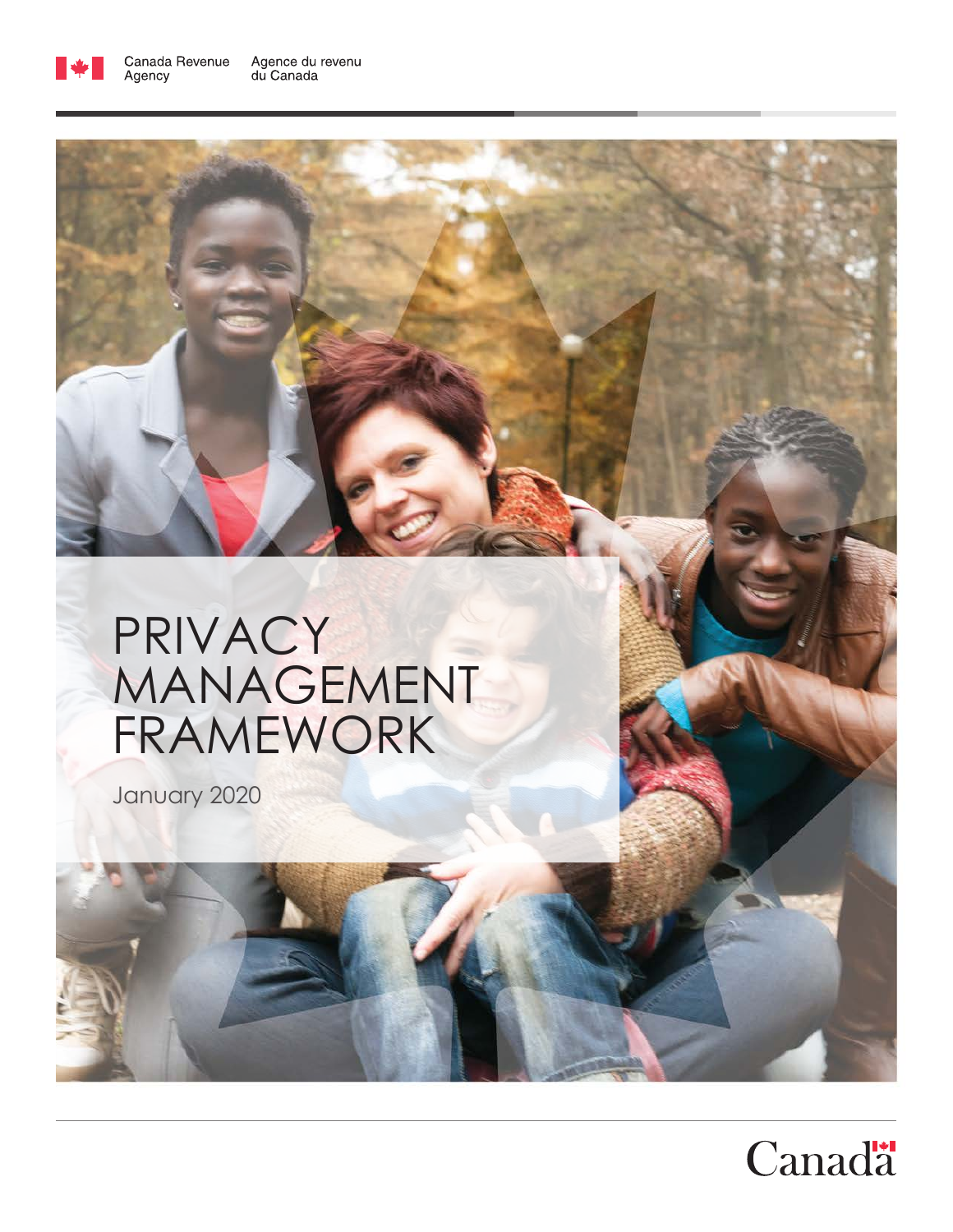

# PRIVACY MANAGEMENT FRAMEWORK

January 2020

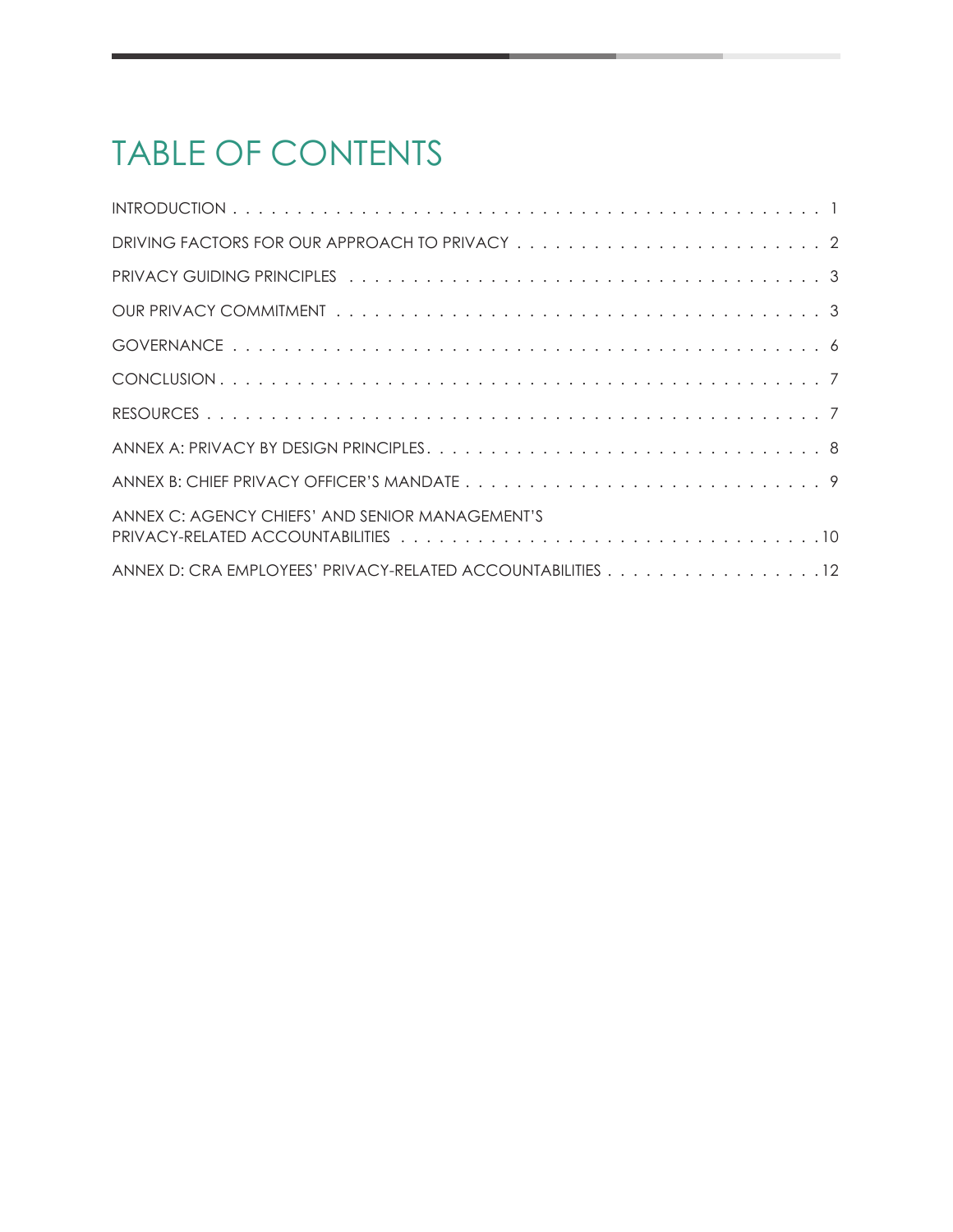### TABLE OF CONTENTS

| ANNEX C: AGENCY CHIEFS' AND SENIOR MANAGEMENT'S             |
|-------------------------------------------------------------|
|                                                             |
| ANNEX D: CRA EMPLOYEES' PRIVACY-RELATED ACCOUNTABILITIES 12 |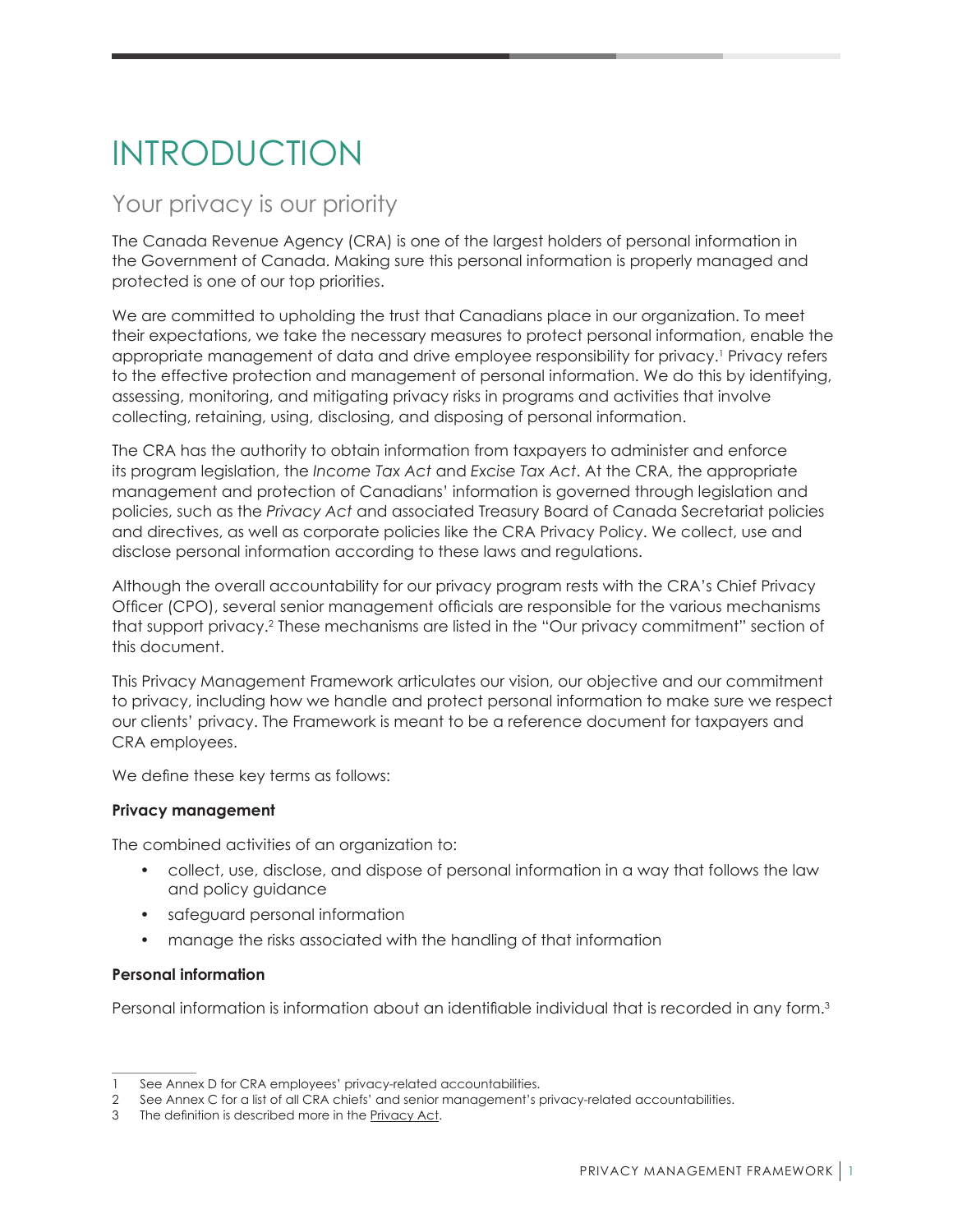### <span id="page-2-0"></span>INTRODUCTION

### Your privacy is our priority

The Canada Revenue Agency (CRA) is one of the largest holders of personal information in the Government of Canada. Making sure this personal information is properly managed and protected is one of our top priorities.

We are committed to upholding the trust that Canadians place in our organization. To meet their expectations, we take the necessary measures to protect personal information, enable the appropriate management of data and drive employee responsibility for privacy. 1 Privacy refers to the effective protection and management of personal information. We do this by identifying, assessing, monitoring, and mitigating privacy risks in programs and activities that involve collecting, retaining, using, disclosing, and disposing of personal information.

The CRA has the authority to obtain information from taxpayers to administer and enforce its program legislation, the *Income Tax Act* and *Excise Tax Act*. At the CRA, the appropriate management and protection of Canadians' information is governed through legislation and policies, such as the *Privacy Act* and associated Treasury Board of Canada Secretariat policies and directives, as well as corporate policies like the CRA Privacy Policy. We collect, use and disclose personal information according to these laws and regulations.

Although the overall accountability for our privacy program rests with the CRA's Chief Privacy Officer (CPO), several senior management officials are responsible for the various mechanisms that support privacy. 2 These mechanisms are listed in the "Our privacy commitment" section of this document.

This Privacy Management Framework articulates our vision, our objective and our commitment to privacy, including how we handle and protect personal information to make sure we respect our clients' privacy. The Framework is meant to be a reference document for taxpayers and CRA employees.

We define these key terms as follows:

#### **Privacy management**

The combined activities of an organization to:

- collect, use, disclose, and dispose of personal information in a way that follows the law and policy guidance
- safeguard personal information
- manage the risks associated with the handling of that information

#### **Personal information**

Personal information is information about an identifiable individual that is recorded in any form.<sup>3</sup>

See Annex D for CRA employees' privacy-related accountabilities.

<sup>2</sup> See Annex C for a list of all CRA chiefs' and senior management's privacy-related accountabilities.

<sup>3</sup> The definition is described more in the **[Privacy Act](https://laws-lois.justice.gc.ca/ENG/ACTS/P-21/page-1.html).**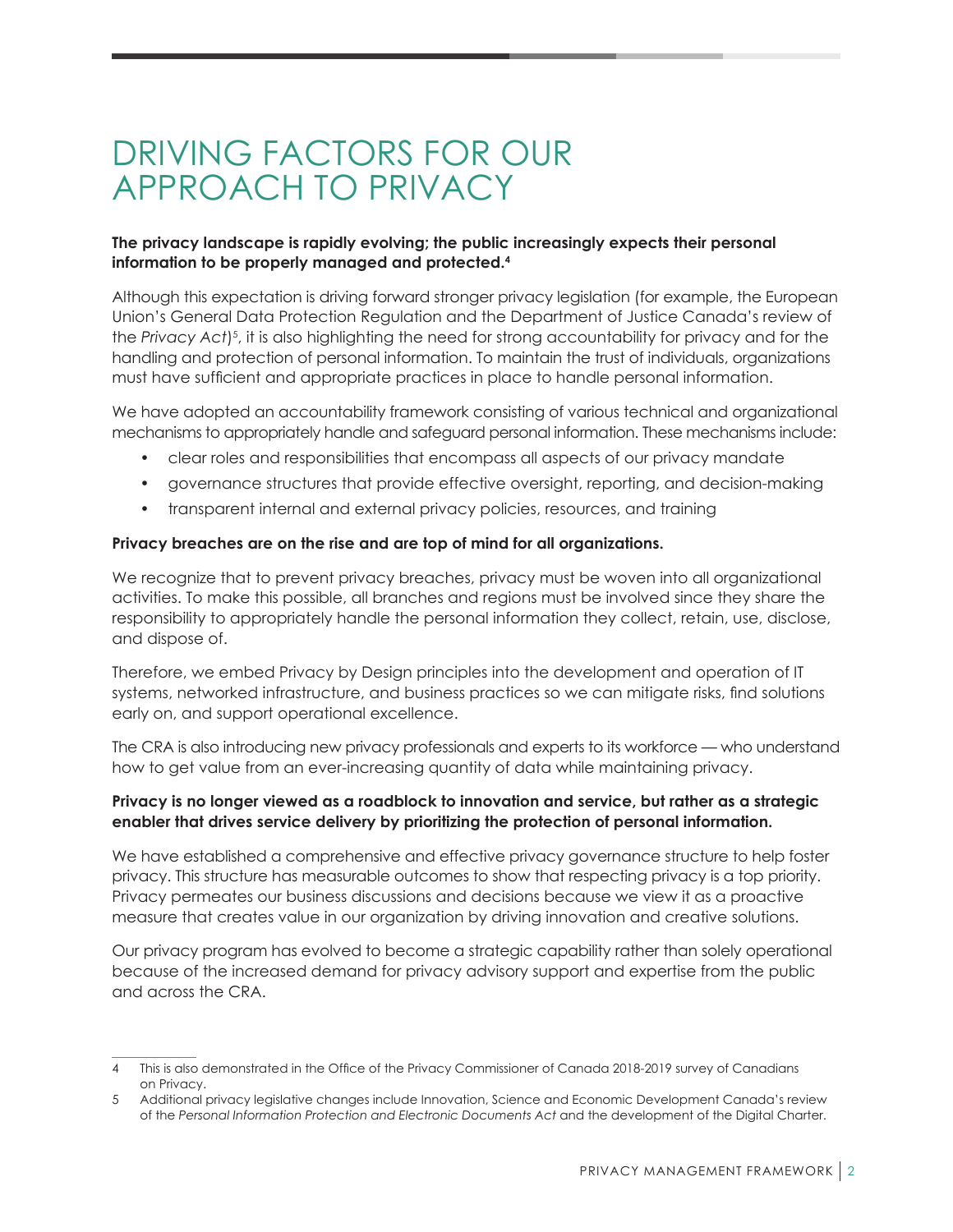### <span id="page-3-0"></span>DRIVING FACTORS FOR OUR APPROACH TO PRIVACY

#### **The privacy landscape is rapidly evolving; the public increasingly expects their personal information to be properly managed and protected.4**

Although this expectation is driving forward stronger privacy legislation (for example, the European Union's General Data Protection Regulation and the Department of Justice Canada's review of the *Privacy Act*)<sup>5</sup>, it is also highlighting the need for strong accountability for privacy and for the handling and protection of personal information. To maintain the trust of individuals, organizations must have sufficient and appropriate practices in place to handle personal information.

We have adopted an accountability framework consisting of various technical and organizational mechanisms to appropriately handle and safeguard personal information. These mechanisms include:

- clear roles and responsibilities that encompass all aspects of our privacy mandate
- governance structures that provide effective oversight, reporting, and decision-making
- transparent internal and external privacy policies, resources, and training

#### **Privacy breaches are on the rise and are top of mind for all organizations.**

We recognize that to prevent privacy breaches, privacy must be woven into all organizational activities. To make this possible, all branches and regions must be involved since they share the responsibility to appropriately handle the personal information they collect, retain, use, disclose, and dispose of.

Therefore, we embed Privacy by Design principles into the development and operation of IT systems, networked infrastructure, and business practices so we can mitigate risks, find solutions early on, and support operational excellence.

The CRA is also introducing new privacy professionals and experts to its workforce — who understand how to get value from an ever-increasing quantity of data while maintaining privacy.

#### **Privacy is no longer viewed as a roadblock to innovation and service, but rather as a strategic enabler that drives service delivery by prioritizing the protection of personal information.**

We have established a comprehensive and effective privacy governance structure to help foster privacy. This structure has measurable outcomes to show that respecting privacy is a top priority. Privacy permeates our business discussions and decisions because we view it as a proactive measure that creates value in our organization by driving innovation and creative solutions.

Our privacy program has evolved to become a strategic capability rather than solely operational because of the increased demand for privacy advisory support and expertise from the public and across the CRA.

<sup>4</sup> This is also demonstrated in the Office of the Privacy Commissioner of Canada 2018-2019 survey of Canadians on Privacy.

<sup>5</sup> Additional privacy legislative changes include Innovation, Science and Economic Development Canada's review of the *Personal Information Protection and Electronic Documents Act* and the development of the Digital Charter.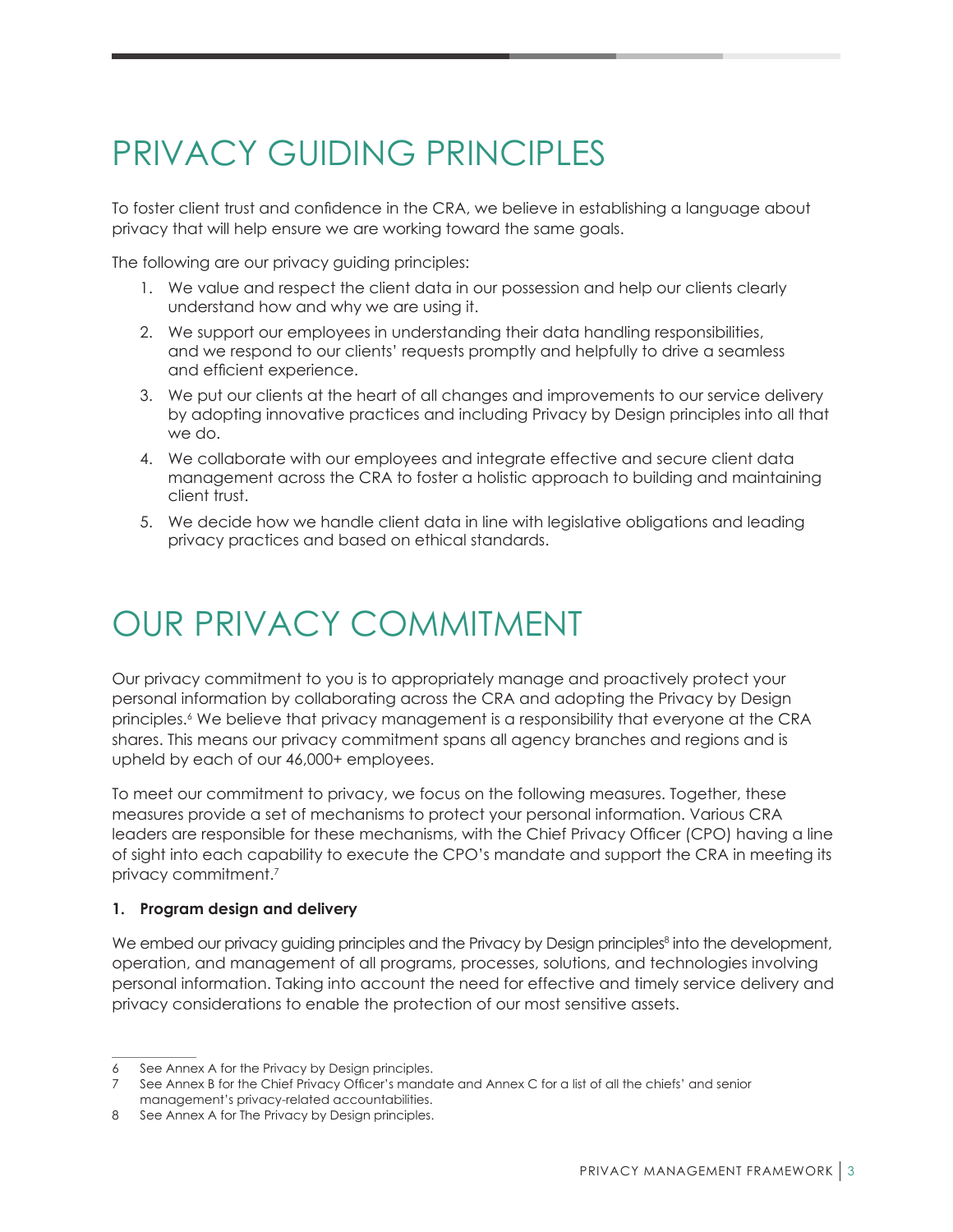### <span id="page-4-0"></span>PRIVACY GUIDING PRINCIPLES

To foster client trust and confidence in the CRA, we believe in establishing a language about privacy that will help ensure we are working toward the same goals.

The following are our privacy guiding principles:

- 1. We value and respect the client data in our possession and help our clients clearly understand how and why we are using it.
- 2. We support our employees in understanding their data handling responsibilities, and we respond to our clients' requests promptly and helpfully to drive a seamless and efficient experience.
- 3. We put our clients at the heart of all changes and improvements to our service delivery by adopting innovative practices and including Privacy by Design principles into all that we do.
- 4. We collaborate with our employees and integrate effective and secure client data management across the CRA to foster a holistic approach to building and maintaining client trust.
- 5. We decide how we handle client data in line with legislative obligations and leading privacy practices and based on ethical standards.

### OUR PRIVACY COMMITMENT

Our privacy commitment to you is to appropriately manage and proactively protect your personal information by collaborating across the CRA and adopting the Privacy by Design principles. 6 We believe that privacy management is a responsibility that everyone at the CRA shares. This means our privacy commitment spans all agency branches and regions and is upheld by each of our 46,000+ employees.

To meet our commitment to privacy, we focus on the following measures. Together, these measures provide a set of mechanisms to protect your personal information. Various CRA leaders are responsible for these mechanisms, with the Chief Privacy Officer (CPO) having a line of sight into each capability to execute the CPO's mandate and support the CRA in meeting its privacy commitment. 7

#### **1. Program design and delivery**

We embed our privacy guiding principles and the Privacy by Design principles<sup>8</sup> into the development, operation, and management of all programs, processes, solutions, and technologies involving personal information. Taking into account the need for effective and timely service delivery and privacy considerations to enable the protection of our most sensitive assets.

<sup>6</sup> See Annex A for the Privacy by Design principles.

See Annex B for the Chief Privacy Officer's mandate and Annex C for a list of all the chiefs' and senior management's privacy-related accountabilities.

<sup>8</sup> See Annex A for The Privacy by Design principles.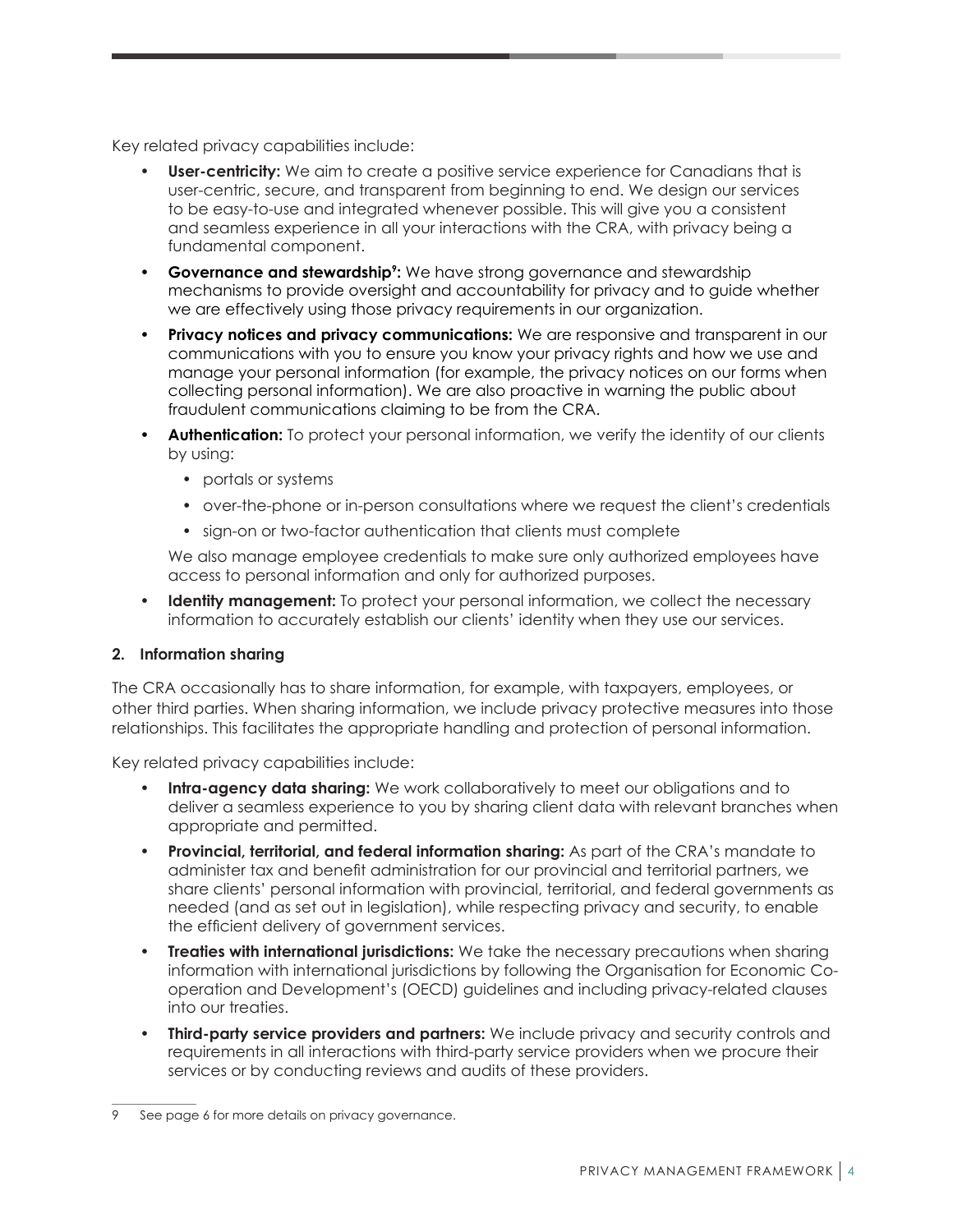Key related privacy capabilities include:

- **User-centricity:** We aim to create a positive service experience for Canadians that is user-centric, secure, and transparent from beginning to end. We design our services to be easy-to-use and integrated whenever possible. This will give you a consistent and seamless experience in all your interactions with the CRA, with privacy being a fundamental component.
- **Governance and stewardship<sup>9</sup>:** We have strong governance and stewardship mechanisms to provide oversight and accountability for privacy and to guide whether we are effectively using those privacy requirements in our organization.
- **Privacy notices and privacy communications:** We are responsive and transparent in our communications with you to ensure you know your privacy rights and how we use and manage your personal information (for example, the privacy notices on our forms when collecting personal information). We are also proactive in warning the public about fraudulent communications claiming to be from the CRA.
- **Authentication:** To protect your personal information, we verify the identity of our clients by using:
	- portals or systems
	- over-the-phone or in-person consultations where we request the client's credentials
	- sign-on or two-factor authentication that clients must complete

We also manage employee credentials to make sure only authorized employees have access to personal information and only for authorized purposes.

• **Identity management:** To protect your personal information, we collect the necessary information to accurately establish our clients' identity when they use our services.

#### **2. Information sharing**

The CRA occasionally has to share information, for example, with taxpayers, employees, or other third parties. When sharing information, we include privacy protective measures into those relationships. This facilitates the appropriate handling and protection of personal information.

Key related privacy capabilities include:

- **Intra-agency data sharing:** We work collaboratively to meet our obligations and to deliver a seamless experience to you by sharing client data with relevant branches when appropriate and permitted.
- **Provincial, territorial, and federal information sharing:** As part of the CRA's mandate to administer tax and benefit administration for our provincial and territorial partners, we share clients' personal information with provincial, territorial, and federal governments as needed (and as set out in legislation), while respecting privacy and security, to enable the efficient delivery of government services.
- **Treaties with international jurisdictions:** We take the necessary precautions when sharing information with international jurisdictions by following the Organisation for Economic Cooperation and Development's (OECD) guidelines and including privacy-related clauses into our treaties.
- **Third-party service providers and partners:** We include privacy and security controls and requirements in all interactions with third-party service providers when we procure their services or by conducting reviews and audits of these providers.

See page 6 for more details on privacy governance.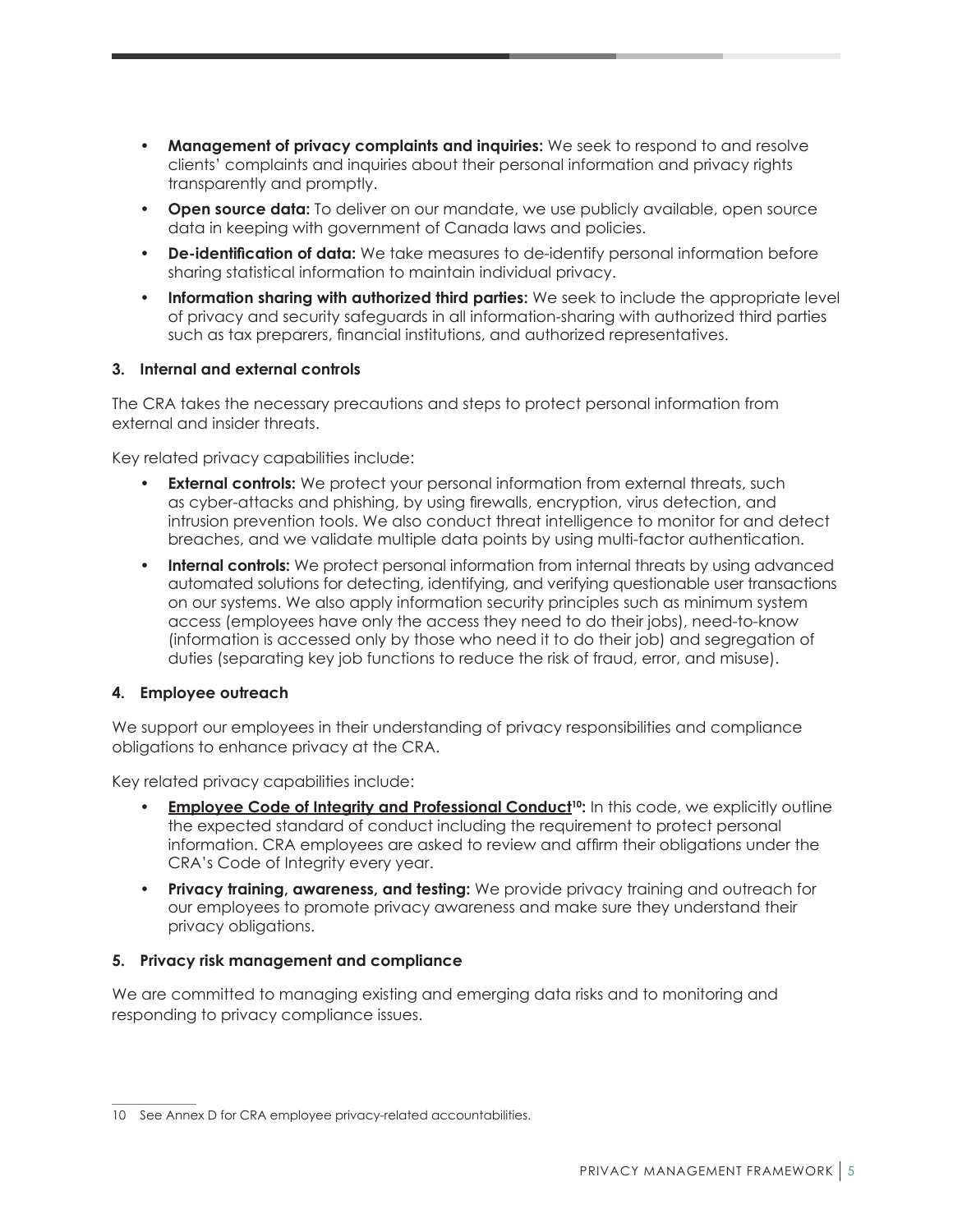- **Management of privacy complaints and inquiries:** We seek to respond to and resolve clients' complaints and inquiries about their personal information and privacy rights transparently and promptly.
- **Open source data:** To deliver on our mandate, we use publicly available, open source data in keeping with government of Canada laws and policies.
- **De-identification of data:** We take measures to de-identify personal information before sharing statistical information to maintain individual privacy.
- **Information sharing with authorized third parties:** We seek to include the appropriate level of privacy and security safeguards in all information-sharing with authorized third parties such as tax preparers, financial institutions, and authorized representatives.

#### **3. Internal and external controls**

The CRA takes the necessary precautions and steps to protect personal information from external and insider threats.

Key related privacy capabilities include:

- **External controls:** We protect your personal information from external threats, such as cyber-attacks and phishing, by using firewalls, encryption, virus detection, and intrusion prevention tools. We also conduct threat intelligence to monitor for and detect breaches, and we validate multiple data points by using multi-factor authentication.
- **Internal controls:** We protect personal information from internal threats by using advanced automated solutions for detecting, identifying, and verifying questionable user transactions on our systems. We also apply information security principles such as minimum system access (employees have only the access they need to do their jobs), need-to-know (information is accessed only by those who need it to do their job) and segregation of duties (separating key job functions to reduce the risk of fraud, error, and misuse).

#### **4. Employee outreach**

We support our employees in their understanding of privacy responsibilities and compliance obligations to enhance privacy at the CRA.

Key related privacy capabilities include:

- **<u>[Employee Code of Integrity and Professional Conduct](https://www.canada.ca/en/revenue-agency/corporate/careers-cra/information-moved/code-integrity-professional-conduct-we-work.html)<sup>10</sup>:** In this code, we explicitly outline</u> the expected standard of conduct including the requirement to protect personal information. CRA employees are asked to review and affirm their obligations under the CRA's Code of Integrity every year.
- **Privacy training, awareness, and testing:** We provide privacy training and outreach for our employees to promote privacy awareness and make sure they understand their privacy obligations.

#### **5. Privacy risk management and compliance**

We are committed to managing existing and emerging data risks and to monitoring and responding to privacy compliance issues.

<sup>10</sup> See Annex D for CRA employee privacy-related accountabilities.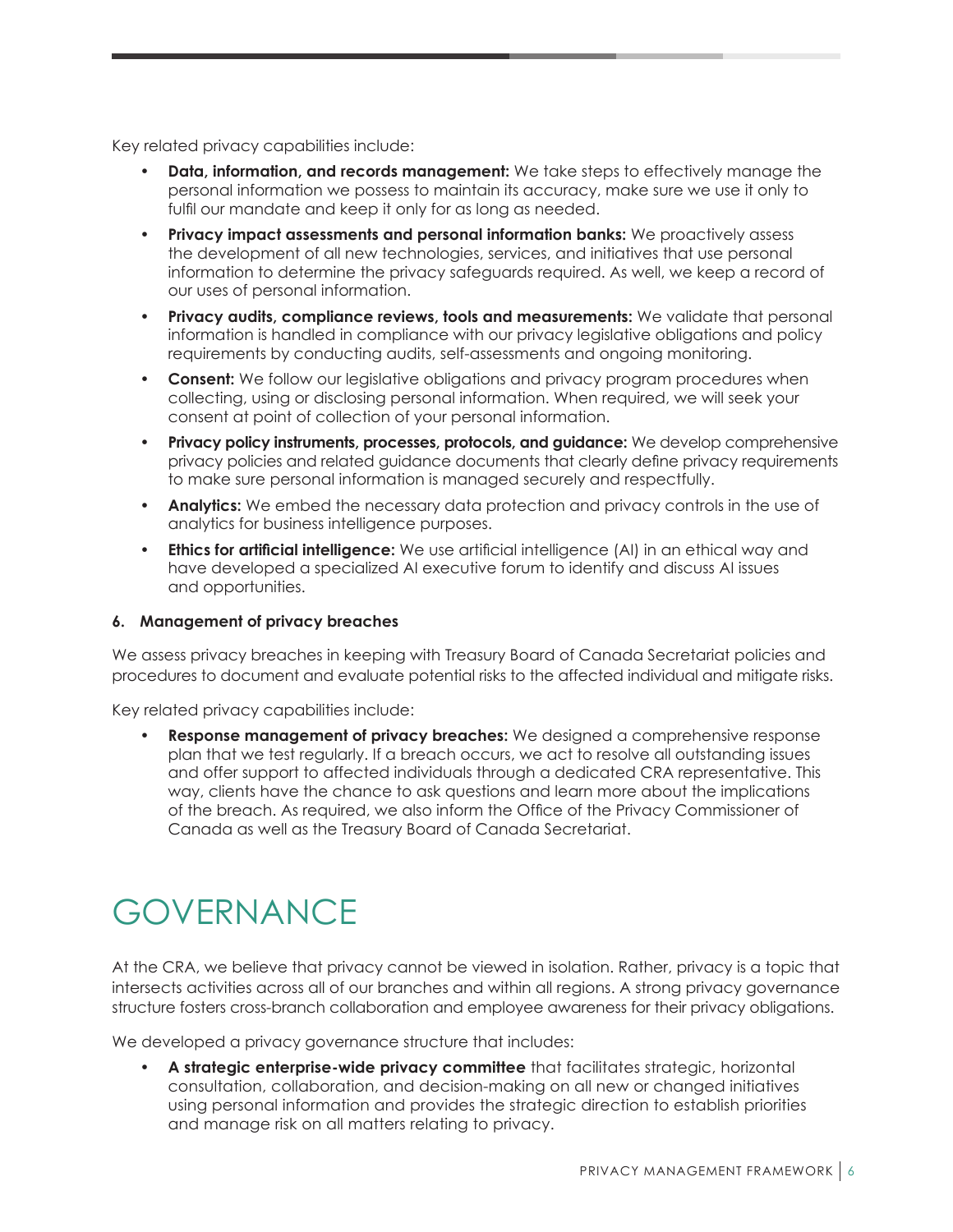<span id="page-7-0"></span>Key related privacy capabilities include:

- **Data, information, and records management:** We take steps to effectively manage the personal information we possess to maintain its accuracy, make sure we use it only to fulfil our mandate and keep it only for as long as needed.
- **Privacy impact assessments and personal information banks:** We proactively assess the development of all new technologies, services, and initiatives that use personal information to determine the privacy safeguards required. As well, we keep a record of our uses of personal information.
- **Privacy audits, compliance reviews, tools and measurements:** We validate that personal information is handled in compliance with our privacy legislative obligations and policy requirements by conducting audits, self-assessments and ongoing monitoring.
- **Consent:** We follow our legislative obligations and privacy program procedures when collecting, using or disclosing personal information. When required, we will seek your consent at point of collection of your personal information.
- **Privacy policy instruments, processes, protocols, and guidance:** We develop comprehensive privacy policies and related guidance documents that clearly define privacy requirements to make sure personal information is managed securely and respectfully.
- **Analytics:** We embed the necessary data protection and privacy controls in the use of analytics for business intelligence purposes.
- **Ethics for artificial intelligence:** We use artificial intelligence (AI) in an ethical way and have developed a specialized AI executive forum to identify and discuss AI issues and opportunities.

#### **6. Management of privacy breaches**

We assess privacy breaches in keeping with Treasury Board of Canada Secretariat policies and procedures to document and evaluate potential risks to the affected individual and mitigate risks.

Key related privacy capabilities include:

• **Response management of privacy breaches:** We designed a comprehensive response plan that we test regularly. If a breach occurs, we act to resolve all outstanding issues and offer support to affected individuals through a dedicated CRA representative. This way, clients have the chance to ask questions and learn more about the implications of the breach. As required, we also inform the Office of the Privacy Commissioner of Canada as well as the Treasury Board of Canada Secretariat.

### GOVERNANCE

At the CRA, we believe that privacy cannot be viewed in isolation. Rather, privacy is a topic that intersects activities across all of our branches and within all regions. A strong privacy governance structure fosters cross-branch collaboration and employee awareness for their privacy obligations.

We developed a privacy governance structure that includes:

• **A strategic enterprise-wide privacy committee** that facilitates strategic, horizontal consultation, collaboration, and decision-making on all new or changed initiatives using personal information and provides the strategic direction to establish priorities and manage risk on all matters relating to privacy.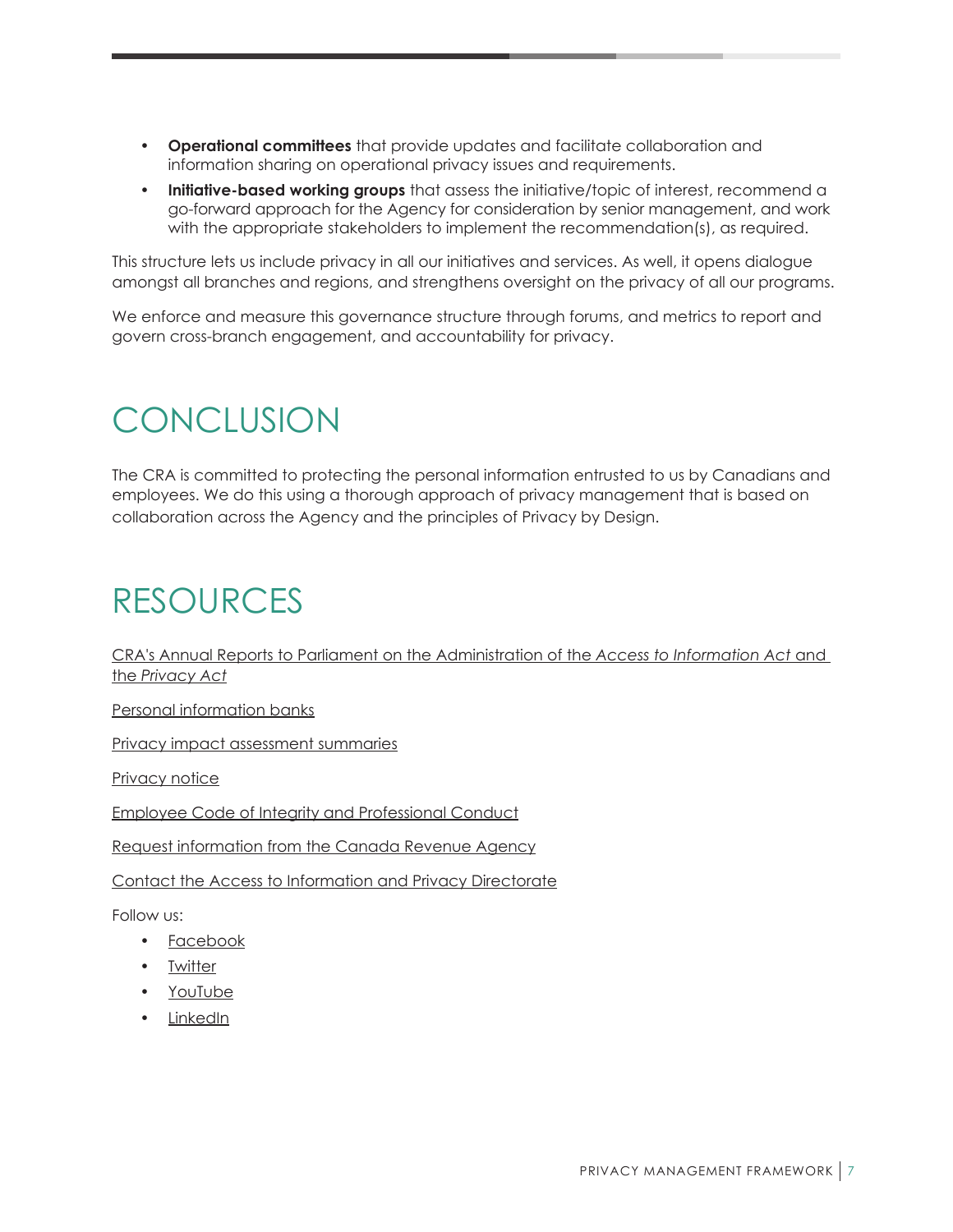- <span id="page-8-0"></span>• **Operational committees** that provide updates and facilitate collaboration and information sharing on operational privacy issues and requirements.
- **Initiative-based working groups** that assess the initiative/topic of interest, recommend a go-forward approach for the Agency for consideration by senior management, and work with the appropriate stakeholders to implement the recommendation(s), as required.

This structure lets us include privacy in all our initiatives and services. As well, it opens dialogue amongst all branches and regions, and strengthens oversight on the privacy of all our programs.

We enforce and measure this governance structure through forums, and metrics to report and govern cross-branch engagement, and accountability for privacy.

### **CONCLUSION**

The CRA is committed to protecting the personal information entrusted to us by Canadians and employees. We do this using a thorough approach of privacy management that is based on collaboration across the Agency and the principles of Privacy by Design.

### RESOURCES

[CRA's Annual Reports to Parliament on the Administration of the](https://www.canada.ca/en/revenue-agency/corporate/about-canada-revenue-agency-cra/access-information-privacy-canada-revenue-agency/cra-annual-reports-parliament-on-administration-access-information-act-privacy-act.html) *Access to Information Act* and the *[Privacy Act](https://www.canada.ca/en/revenue-agency/corporate/about-canada-revenue-agency-cra/access-information-privacy-canada-revenue-agency/cra-annual-reports-parliament-on-administration-access-information-act-privacy-act.html)*

[Personal information banks](https://www.canada.ca/en/revenue-agency/corporate/about-canada-revenue-agency-cra/access-information-privacy-canada-revenue-agency/info-source-appendix.html)

[Privacy impact assessment summaries](https://www.canada.ca/en/revenue-agency/services/about-canada-revenue-agency-cra/protecting-your-privacy/privacy-impact-assessment.html)

Privacy notice

[Employee Code of Integrity and Professional Conduct](https://www.canada.ca/en/revenue-agency/corporate/careers-cra/information-moved/code-integrity-professional-conduct-we-work.html)

[Request information from the Canada Revenue Agency](https://www.canada.ca/en/revenue-agency/corporate/about-canada-revenue-agency-cra/access-information-privacy-canada-revenue-agency/request-information-canada-revenue-agency.html)

[Contact the Access to Information and Privacy Directorate](https://www.canada.ca/en/revenue-agency/corporate/about-canada-revenue-agency-cra/access-information-privacy-canada-revenue-agency/contact-access-information-privacy-directorate.html)

Follow us:

- [Facebook](https://www.facebook.com/canrevagency)
- [Twitter](https://twitter.com/CanRevAgency)
- [YouTube](https://www.youtube.com/user/CanRevAgency)
- [LinkedIn](https://www.linkedin.com/company/cra-arc)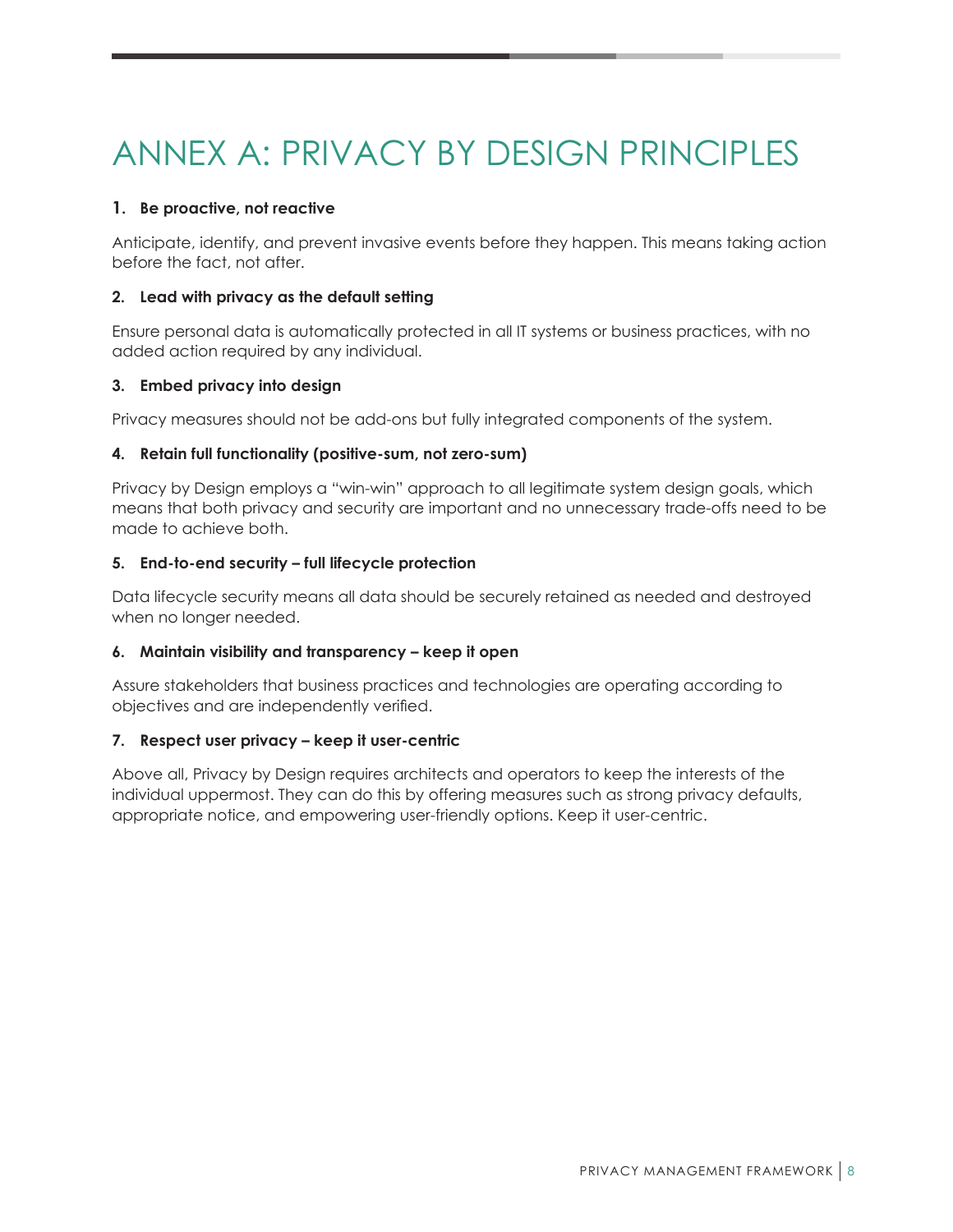## <span id="page-9-0"></span>ANNEX A: PRIVACY BY DESIGN PRINCIPLES

#### **1. Be proactive, not reactive**

Anticipate, identify, and prevent invasive events before they happen. This means taking action before the fact, not after.

#### **2. Lead with privacy as the default setting**

Ensure personal data is automatically protected in all IT systems or business practices, with no added action required by any individual.

#### **3. Embed privacy into design**

Privacy measures should not be add-ons but fully integrated components of the system.

#### **4. Retain full functionality (positive-sum, not zero-sum)**

Privacy by Design employs a "win-win" approach to all legitimate system design goals, which means that both privacy and security are important and no unnecessary trade-offs need to be made to achieve both.

#### **5. End-to-end security – full lifecycle protection**

Data lifecycle security means all data should be securely retained as needed and destroyed when no longer needed.

#### **6. Maintain visibility and transparency – keep it open**

Assure stakeholders that business practices and technologies are operating according to objectives and are independently verified.

#### **7. Respect user privacy – keep it user-centric**

Above all, Privacy by Design requires architects and operators to keep the interests of the individual uppermost. They can do this by offering measures such as strong privacy defaults, appropriate notice, and empowering user-friendly options. Keep it user-centric.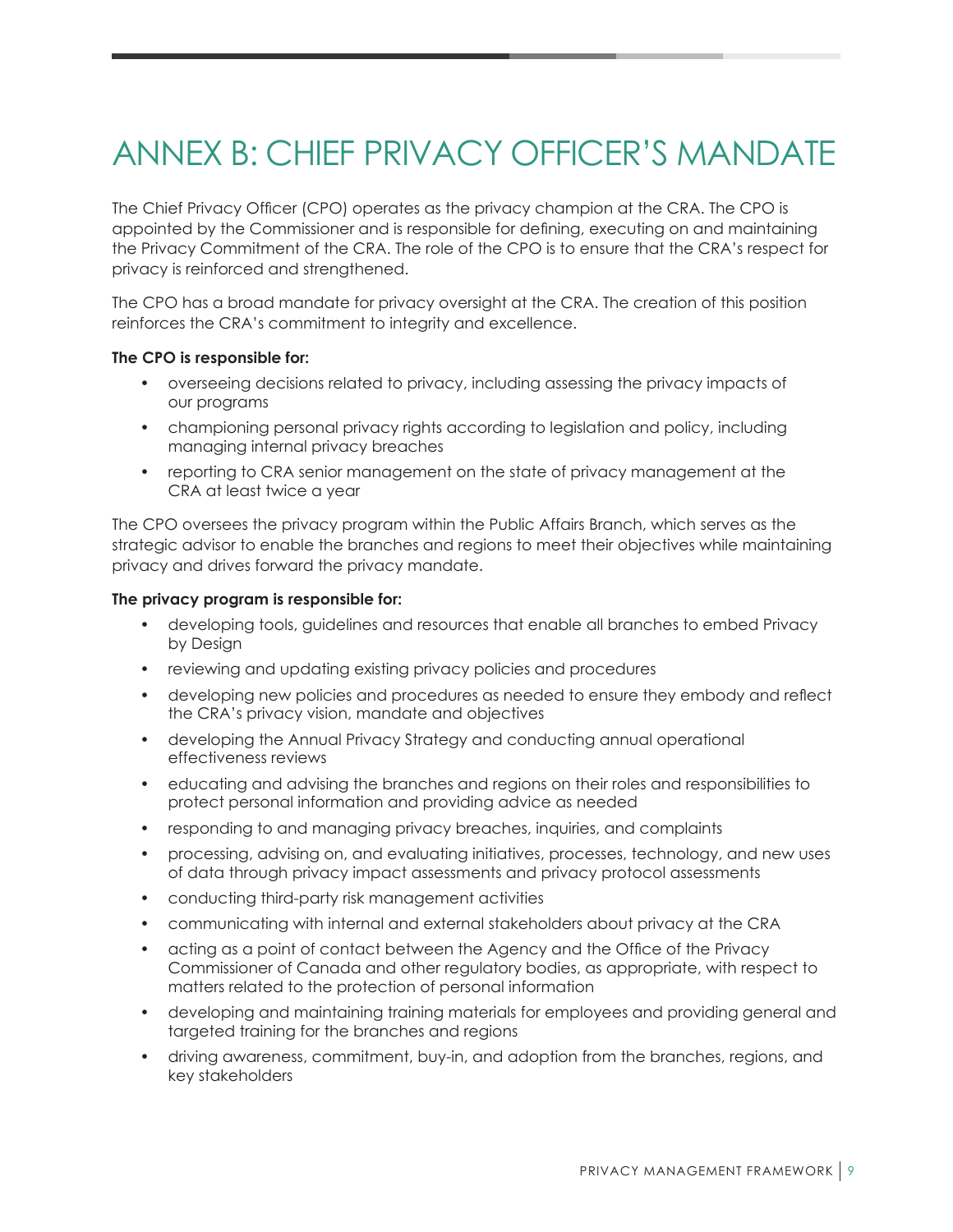## <span id="page-10-0"></span>ANNEX B: CHIEF PRIVACY OFFICER'S MANDATE

The Chief Privacy Officer (CPO) operates as the privacy champion at the CRA. The CPO is appointed by the Commissioner and is responsible for defining, executing on and maintaining the Privacy Commitment of the CRA. The role of the CPO is to ensure that the CRA's respect for privacy is reinforced and strengthened.

The CPO has a broad mandate for privacy oversight at the CRA. The creation of this position reinforces the CRA's commitment to integrity and excellence.

#### **The CPO is responsible for:**

- overseeing decisions related to privacy, including assessing the privacy impacts of our programs
- championing personal privacy rights according to legislation and policy, including managing internal privacy breaches
- reporting to CRA senior management on the state of privacy management at the CRA at least twice a year

The CPO oversees the privacy program within the Public Affairs Branch, which serves as the strategic advisor to enable the branches and regions to meet their objectives while maintaining privacy and drives forward the privacy mandate.

#### **The privacy program is responsible for:**

- developing tools, guidelines and resources that enable all branches to embed Privacy by Design
- reviewing and updating existing privacy policies and procedures
- developing new policies and procedures as needed to ensure they embody and reflect the CRA's privacy vision, mandate and objectives
- developing the Annual Privacy Strategy and conducting annual operational effectiveness reviews
- educating and advising the branches and regions on their roles and responsibilities to protect personal information and providing advice as needed
- responding to and managing privacy breaches, inquiries, and complaints
- processing, advising on, and evaluating initiatives, processes, technology, and new uses of data through privacy impact assessments and privacy protocol assessments
- conducting third-party risk management activities
- communicating with internal and external stakeholders about privacy at the CRA
- acting as a point of contact between the Agency and the Office of the Privacy Commissioner of Canada and other regulatory bodies, as appropriate, with respect to matters related to the protection of personal information
- developing and maintaining training materials for employees and providing general and targeted training for the branches and regions
- driving awareness, commitment, buy-in, and adoption from the branches, regions, and key stakeholders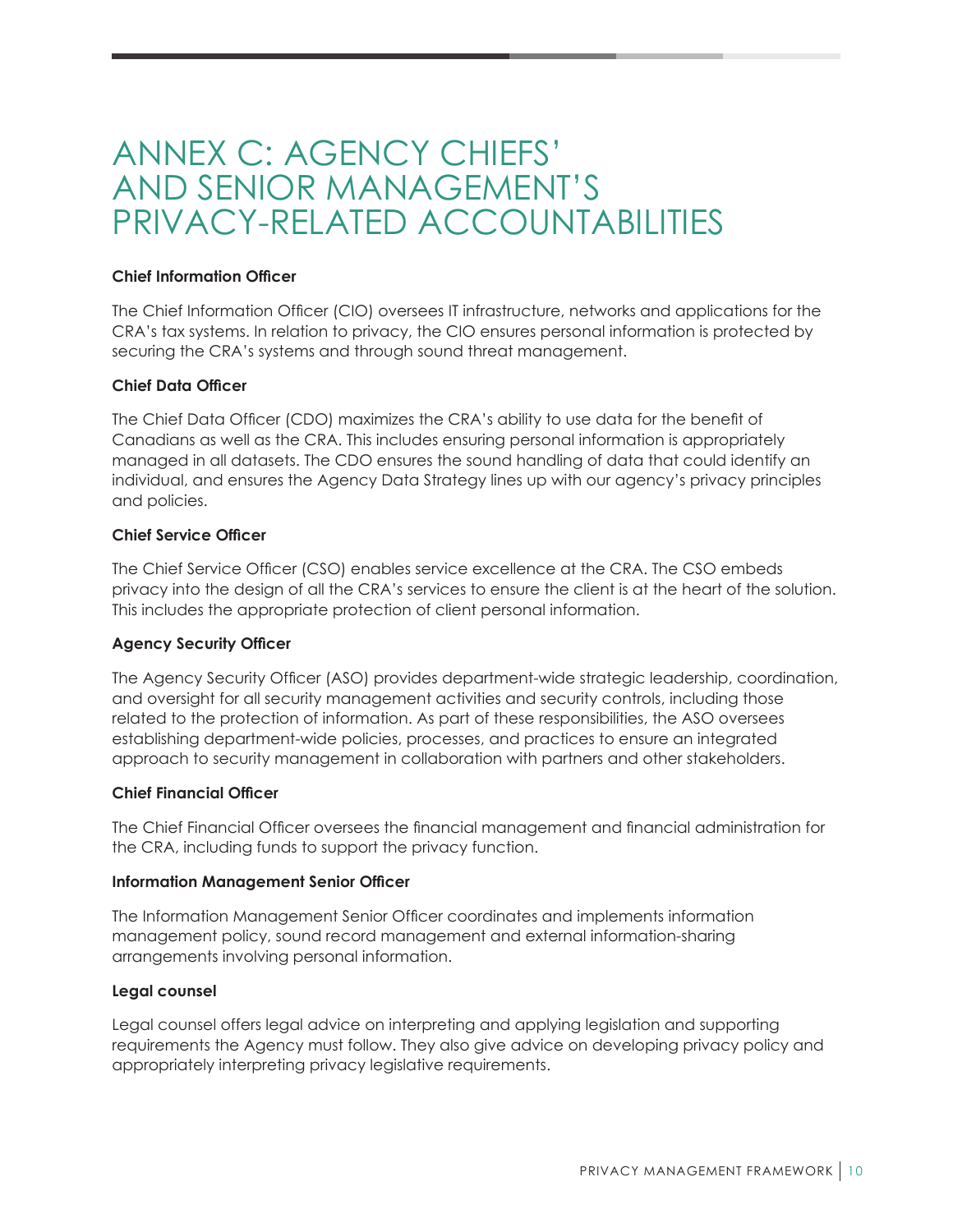### <span id="page-11-0"></span>ANNEX C: AGENCY CHIEFS' AND SENIOR MANAGEMENT'S PRIVACY-RELATED ACCOUNTABILITIES

#### **Chief Information Officer**

The Chief Information Officer (CIO) oversees IT infrastructure, networks and applications for the CRA's tax systems. In relation to privacy, the CIO ensures personal information is protected by securing the CRA's systems and through sound threat management.

#### **Chief Data Officer**

The Chief Data Officer (CDO) maximizes the CRA's ability to use data for the benefit of Canadians as well as the CRA. This includes ensuring personal information is appropriately managed in all datasets. The CDO ensures the sound handling of data that could identify an individual, and ensures the Agency Data Strategy lines up with our agency's privacy principles and policies.

#### **Chief Service Officer**

The Chief Service Officer (CSO) enables service excellence at the CRA. The CSO embeds privacy into the design of all the CRA's services to ensure the client is at the heart of the solution. This includes the appropriate protection of client personal information.

#### **Agency Security Officer**

The Agency Security Officer (ASO) provides department-wide strategic leadership, coordination, and oversight for all security management activities and security controls, including those related to the protection of information. As part of these responsibilities, the ASO oversees establishing department-wide policies, processes, and practices to ensure an integrated approach to security management in collaboration with partners and other stakeholders.

#### **Chief Financial Officer**

The Chief Financial Officer oversees the financial management and financial administration for the CRA, including funds to support the privacy function.

#### **Information Management Senior Officer**

The Information Management Senior Officer coordinates and implements information management policy, sound record management and external information-sharing arrangements involving personal information.

#### **Legal counsel**

Legal counsel offers legal advice on interpreting and applying legislation and supporting requirements the Agency must follow. They also give advice on developing privacy policy and appropriately interpreting privacy legislative requirements.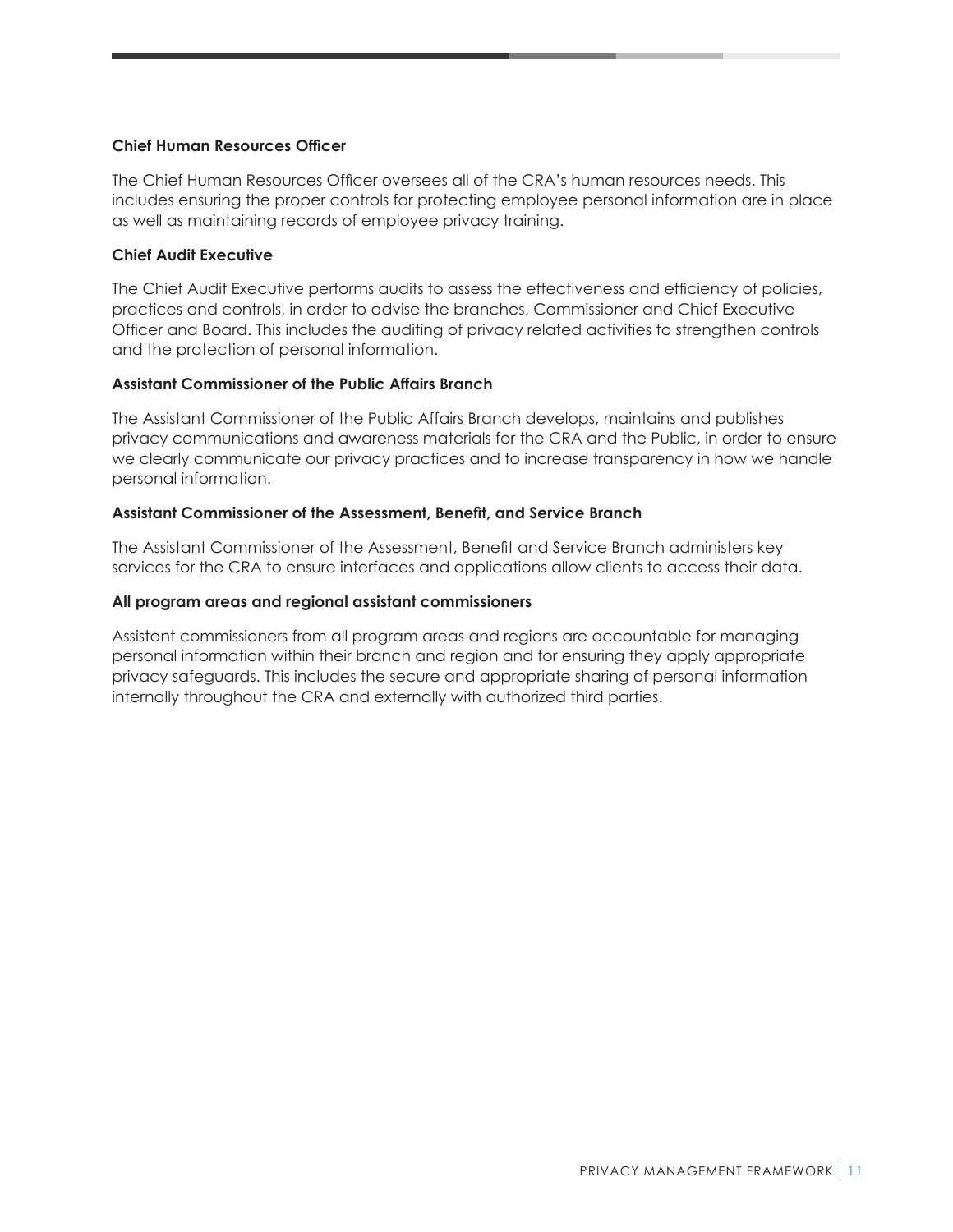#### **Chief Human Resources Officer**

The Chief Human Resources Officer oversees all of the CRA's human resources needs. This includes ensuring the proper controls for protecting employee personal information are in place as well as maintaining records of employee privacy training.

#### **Chief Audit Executive**

The Chief Audit Executive performs audits to assess the effectiveness and efficiency of policies, practices and controls, in order to advise the branches, Commissioner and Chief Executive Officer and Board. This includes the auditing of privacy related activities to strengthen controls and the protection of personal information.

#### **Assistant Commissioner of the Public Affairs Branch**

The Assistant Commissioner of the Public Affairs Branch develops, maintains and publishes privacy communications and awareness materials for the CRA and the Public, in order to ensure we clearly communicate our privacy practices and to increase transparency in how we handle personal information.

#### **Assistant Commissioner of the Assessment, Benefit, and Service Branch**

The Assistant Commissioner of the Assessment, Benefit and Service Branch administers key services for the CRA to ensure interfaces and applications allow clients to access their data.

#### **All program areas and regional assistant commissioners**

Assistant commissioners from all program areas and regions are accountable for managing personal information within their branch and region and for ensuring they apply appropriate privacy safeguards. This includes the secure and appropriate sharing of personal information internally throughout the CRA and externally with authorized third parties.